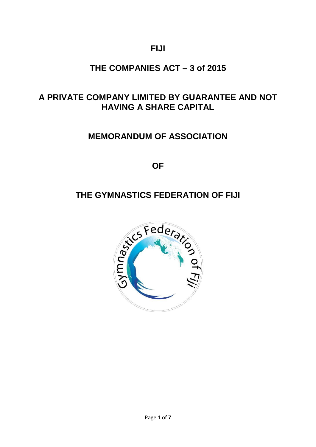**FIJI**

## **THE COMPANIES ACT – 3 of 2015**

## **A PRIVATE COMPANY LIMITED BY GUARANTEE AND NOT HAVING A SHARE CAPITAL**

## **MEMORANDUM OF ASSOCIATION**

**OF**

# **THE GYMNASTICS FEDERATION OF FIJI**

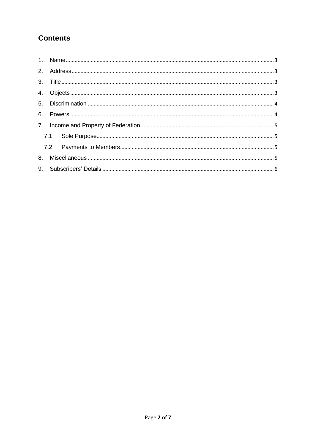## **Contents**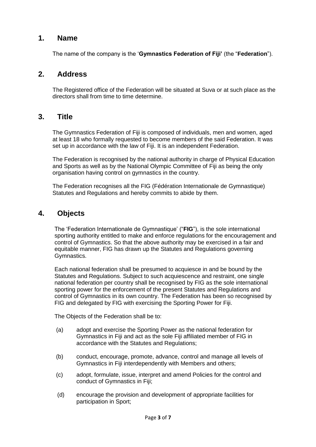#### <span id="page-2-0"></span>**1. Name**

The name of the company is the '**Gymnastics Federation of Fiji'** (the "**Federation**").

#### <span id="page-2-1"></span>**2. Address**

The Registered office of the Federation will be situated at Suva or at such place as the directors shall from time to time determine.

#### <span id="page-2-2"></span>**3. Title**

The Gymnastics Federation of Fiji is composed of individuals, men and women, aged at least 18 who formally requested to become members of the said Federation. It was set up in accordance with the law of Fiji. It is an independent Federation.

The Federation is recognised by the national authority in charge of Physical Education and Sports as well as by the National Olympic Committee of Fiji as being the only organisation having control on gymnastics in the country.

The Federation recognises all the FIG (Fédération Internationale de Gymnastique) Statutes and Regulations and hereby commits to abide by them.

#### <span id="page-2-3"></span>**4. Objects**

The 'Federation Internationale de Gymnastique' ("**FIG**"), is the sole international sporting authority entitled to make and enforce regulations for the encouragement and control of Gymnastics. So that the above authority may be exercised in a fair and equitable manner, FIG has drawn up the Statutes and Regulations governing Gymnastics.

Each national federation shall be presumed to acquiesce in and be bound by the Statutes and Regulations. Subject to such acquiescence and restraint, one single national federation per country shall be recognised by FIG as the sole international sporting power for the enforcement of the present Statutes and Regulations and control of Gymnastics in its own country. The Federation has been so recognised by FIG and delegated by FIG with exercising the Sporting Power for Fiji.

The Objects of the Federation shall be to:

- (a) adopt and exercise the Sporting Power as the national federation for Gymnastics in Fiji and act as the sole Fiji affiliated member of FIG in accordance with the Statutes and Regulations;
- (b) conduct, encourage, promote, advance, control and manage all levels of Gymnastics in Fiji interdependently with Members and others;
- (c) adopt, formulate, issue, interpret and amend Policies for the control and conduct of Gymnastics in Fiji;
- (d) encourage the provision and development of appropriate facilities for participation in Sport;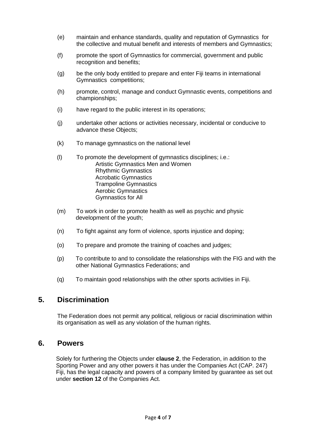- (e) maintain and enhance standards, quality and reputation of Gymnastics for the collective and mutual benefit and interests of members and Gymnastics;
- (f) promote the sport of Gymnastics for commercial, government and public recognition and benefits;
- (g) be the only body entitled to prepare and enter Fiji teams in international Gymnastics competitions;
- (h) promote, control, manage and conduct Gymnastic events, competitions and championships;
- (i) have regard to the public interest in its operations;
- (j) undertake other actions or activities necessary, incidental or conducive to advance these Objects;
- (k) To manage gymnastics on the national level
- (l) To promote the development of gymnastics disciplines; i.e.: Artistic Gymnastics Men and Women Rhythmic Gymnastics Acrobatic Gymnastics Trampoline Gymnastics Aerobic Gymnastics Gymnastics for All
- (m) To work in order to promote health as well as psychic and physic development of the youth;
- (n) To fight against any form of violence, sports injustice and doping;
- (o) To prepare and promote the training of coaches and judges;
- (p) To contribute to and to consolidate the relationships with the FIG and with the other National Gymnastics Federations; and
- (q) To maintain good relationships with the other sports activities in Fiji.

### <span id="page-3-0"></span>**5. Discrimination**

The Federation does not permit any political, religious or racial discrimination within its organisation as well as any violation of the human rights.

#### <span id="page-3-1"></span>**6. Powers**

Solely for furthering the Objects under **clause 2**, the Federation, in addition to the Sporting Power and any other powers it has under the Companies Act (CAP. 247) Fiji, has the legal capacity and powers of a company limited by guarantee as set out under **section 12** of the Companies Act.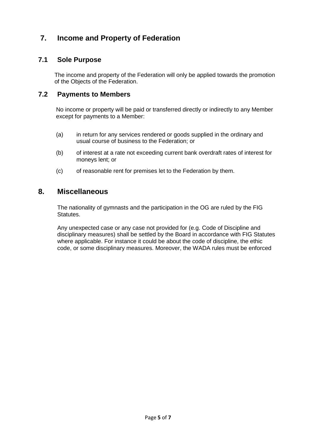### **7. Income and Property of Federation**

### <span id="page-4-0"></span>**7.1 Sole Purpose**

The income and property of the Federation will only be applied towards the promotion of the Objects of the Federation.

#### <span id="page-4-1"></span>**7.2 Payments to Members**

No income or property will be paid or transferred directly or indirectly to any Member except for payments to a Member:

- (a) in return for any services rendered or goods supplied in the ordinary and usual course of business to the Federation; or
- (b) of interest at a rate not exceeding current bank overdraft rates of interest for moneys lent; or
- (c) of reasonable rent for premises let to the Federation by them.

### <span id="page-4-2"></span>**8. Miscellaneous**

The nationality of gymnasts and the participation in the OG are ruled by the FIG Statutes.

Any unexpected case or any case not provided for (e.g. Code of Discipline and disciplinary measures) shall be settled by the Board in accordance with FIG Statutes where applicable. For instance it could be about the code of discipline, the ethic code, or some disciplinary measures. Moreover, the WADA rules must be enforced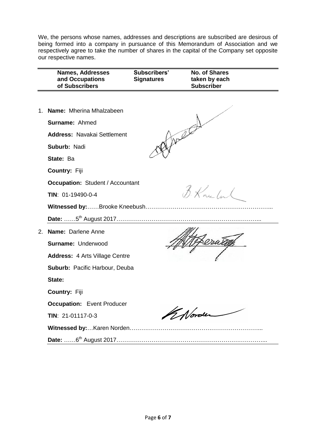We, the persons whose names, addresses and descriptions are subscribed are desirous of being formed into a company in pursuance of this Memorandum of Association and we respectively agree to take the number of shares in the capital of the Company set opposite our respective names.

| <b>Names, Addresses</b><br>and Occupations<br>of Subscribers | Subscribers'<br><b>Signatures</b> | <b>No. of Shares</b><br>taken by each<br><b>Subscriber</b> |
|--------------------------------------------------------------|-----------------------------------|------------------------------------------------------------|
|                                                              |                                   |                                                            |
| 1. Name: Mherina Mhalzabeen                                  |                                   |                                                            |
| Surname: Ahmed                                               |                                   |                                                            |
| <b>Address: Navakai Settlement</b>                           | mate                              |                                                            |
| Suburb: Nadi                                                 |                                   |                                                            |
| State: Ba                                                    |                                   |                                                            |
| Country: Fiji                                                |                                   |                                                            |
| <b>Occupation: Student / Accountant</b>                      |                                   |                                                            |
| TIN: 01-19490-0-4                                            |                                   | B. Kno Inl                                                 |
|                                                              |                                   |                                                            |
|                                                              |                                   |                                                            |
| 2. Name: Darlene Anne                                        |                                   |                                                            |
| Surname: Underwood                                           |                                   |                                                            |
| <b>Address: 4 Arts Village Centre</b>                        |                                   |                                                            |
| Suburb: Pacific Harbour, Deuba                               |                                   |                                                            |
| State:                                                       |                                   |                                                            |
| Country: Fiji                                                |                                   |                                                            |
| <b>Occupation:</b> Event Producer                            |                                   |                                                            |
| TIN: 21-01117-0-3                                            | K Norder                          |                                                            |
|                                                              |                                   |                                                            |
|                                                              |                                   |                                                            |